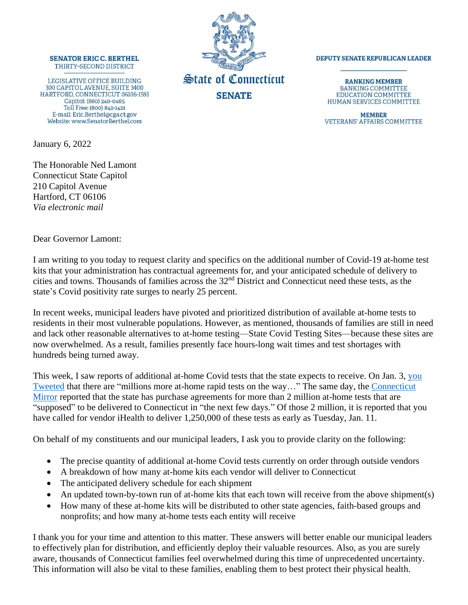## **SENATOR ERIC C. BERTHEL** THIRTY-SECOND DISTRICT

LEGISLATIVE OFFICE BUILDING 300 CAPITOL AVENUE, SUITE 3400 HARTFORD, CONNECTICUT 06106-1591 Capitol: (860) 240-0465 Toll Free: (800) 842-1421 E-mail: Eric.Berthel@cga.ct.gov Website: www.SenatorBerthel.com

January 6, 2022

The Honorable Ned Lamont Connecticut State Capitol 210 Capitol Avenue Hartford, CT 06106 *Via electronic mail*



## **DEPUTY SENATE REPUBLICAN LEADER**

**RANKING MEMBER BANKING COMMITTEE EDUCATION COMMITTEE** HUMAN SERVICES COMMITTEE

**MEMBER VETERANS' AFFAIRS COMMITTEE** 

Dear Governor Lamont:

I am writing to you today to request clarity and specifics on the additional number of Covid-19 at-home test kits that your administration has contractual agreements for, and your anticipated schedule of delivery to cities and towns. Thousands of families across the 32nd District and Connecticut need these tests, as the state's Covid positivity rate surges to nearly 25 percent.

In recent weeks, municipal leaders have pivoted and prioritized distribution of available at-home tests to residents in their most vulnerable populations. However, as mentioned, thousands of families are still in need and lack other reasonable alternatives to at-home testing—State Covid Testing Sites—because these sites are now overwhelmed. As a result, families presently face hours-long wait times and test shortages with hundreds being turned away.

This week, I saw reports of additional at-home Covid tests that the state expects to receive. On Jan. 3, you [Tweeted](https://twitter.com/GovNedLamont/status/1478176974430425091?ref_src=twsrc%5Etfw%7Ctwcamp%5Etweetembed%7Ctwterm%5E1478176975781040129%7Ctwgr%5E%7Ctwcon%5Es2_&ref_url=https%3A%2F%2Fwww.nbcconnecticut.com%2Fnews%2Fcoronavirus%2Fover-575k-test-kits-distributed-1-million-more-delivered-since-sunday-governor%2F2683726%2F) that there are "millions more at-home rapid tests on the way…" The same day, the [Connecticut](https://ctmirror.org/2022/01/03/long-lines-across-ct-for-covid-test-kits-documents-show-the-state-expects-more-soon/)  [Mirror](https://ctmirror.org/2022/01/03/long-lines-across-ct-for-covid-test-kits-documents-show-the-state-expects-more-soon/) reported that the state has purchase agreements for more than 2 million at-home tests that are "supposed" to be delivered to Connecticut in "the next few days." Of those 2 million, it is reported that you have called for vendor iHealth to deliver 1,250,000 of these tests as early as Tuesday, Jan. 11.

On behalf of my constituents and our municipal leaders, I ask you to provide clarity on the following:

- The precise quantity of additional at-home Covid tests currently on order through outside vendors
- A breakdown of how many at-home kits each vendor will deliver to Connecticut
- The anticipated delivery schedule for each shipment
- An updated town-by-town run of at-home kits that each town will receive from the above shipment(s)
- How many of these at-home kits will be distributed to other state agencies, faith-based groups and nonprofits; and how many at-home tests each entity will receive

I thank you for your time and attention to this matter. These answers will better enable our municipal leaders to effectively plan for distribution, and efficiently deploy their valuable resources. Also, as you are surely aware, thousands of Connecticut families feel overwhelmed during this time of unprecedented uncertainty. This information will also be vital to these families, enabling them to best protect their physical health.